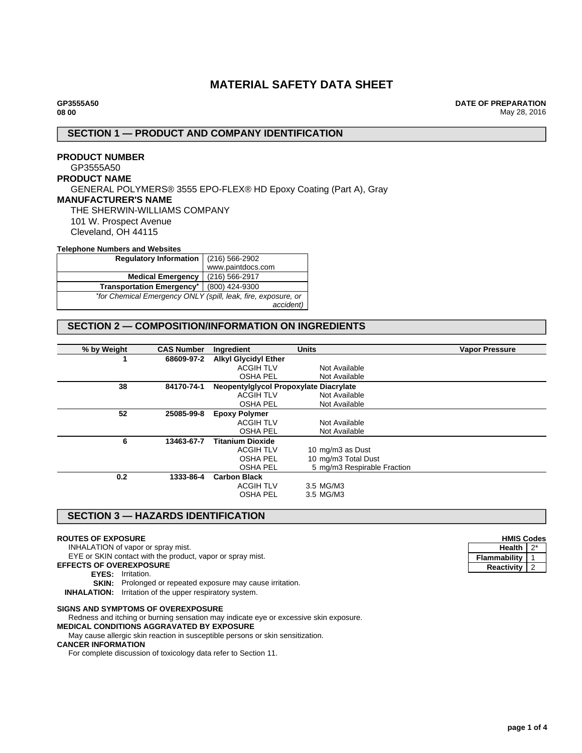# **MATERIAL SAFETY DATA SHEET**

**DATE OF PREPARATION** May 28, 2016

## **SECTION 1 — PRODUCT AND COMPANY IDENTIFICATION**

# **PRODUCT NUMBER** GP3555A50 **PRODUCT NAME** GENERAL POLYMERS® 3555 EPO-FLEX® HD Epoxy Coating (Part A), Gray **MANUFACTURER'S NAME** THE SHERWIN-WILLIAMS COMPANY 101 W. Prospect Avenue Cleveland, OH 44115

### **Telephone Numbers and Websites**

| <b>Regulatory Information</b>                                 | (216) 566-2902    |  |
|---------------------------------------------------------------|-------------------|--|
|                                                               | www.paintdocs.com |  |
| <b>Medical Emergency</b>                                      | (216) 566-2917    |  |
| <b>Transportation Emergency*</b>                              | (800) 424-9300    |  |
| *for Chemical Emergency ONLY (spill, leak, fire, exposure, or |                   |  |
|                                                               | accident)         |  |

# **SECTION 2 — COMPOSITION/INFORMATION ON INGREDIENTS**

| % by Weight | <b>CAS Number</b> | Ingredient                             | <b>Units</b>                | <b>Vapor Pressure</b> |
|-------------|-------------------|----------------------------------------|-----------------------------|-----------------------|
|             | 68609-97-2        | <b>Alkyl Glycidyl Ether</b>            |                             |                       |
|             |                   | <b>ACGIH TLV</b>                       | Not Available               |                       |
|             |                   | <b>OSHA PEL</b>                        | Not Available               |                       |
| 38          | 84170-74-1        | Neopentylglycol Propoxylate Diacrylate |                             |                       |
|             |                   | <b>ACGIH TLV</b>                       | Not Available               |                       |
|             |                   | <b>OSHA PEL</b>                        | Not Available               |                       |
| 52          | 25085-99-8        | <b>Epoxy Polymer</b>                   |                             |                       |
|             |                   | <b>ACGIH TLV</b>                       | Not Available               |                       |
|             |                   | <b>OSHA PEL</b>                        | Not Available               |                       |
| 6           | 13463-67-7        | <b>Titanium Dioxide</b>                |                             |                       |
|             |                   | <b>ACGIH TLV</b>                       | 10 mg/m3 as Dust            |                       |
|             |                   | <b>OSHA PEL</b>                        | 10 mg/m3 Total Dust         |                       |
|             |                   | <b>OSHA PEL</b>                        | 5 mg/m3 Respirable Fraction |                       |
| 0.2         | 1333-86-4         | <b>Carbon Black</b>                    |                             |                       |
|             |                   | <b>ACGIH TLV</b>                       | 3.5 MG/M3                   |                       |
|             |                   | <b>OSHA PEL</b>                        | 3.5 MG/M3                   |                       |
|             |                   |                                        |                             |                       |

## **SECTION 3 — HAZARDS IDENTIFICATION**

#### **ROUTES OF EXPOSURE**

INHALATION of vapor or spray mist.

- EYE or SKIN contact with the product, vapor or spray mist.
- **EFFECTS OF OVEREXPOSURE**
	- **EYES:** Irritation.
	- **SKIN:** Prolonged or repeated exposure may cause irritation.

**INHALATION:** Irritation of the upper respiratory system.

### **SIGNS AND SYMPTOMS OF OVEREXPOSURE**

Redness and itching or burning sensation may indicate eye or excessive skin exposure.

# **MEDICAL CONDITIONS AGGRAVATED BY EXPOSURE**

May cause allergic skin reaction in susceptible persons or skin sensitization.

## **CANCER INFORMATION**

For complete discussion of toxicology data refer to Section 11.

| <b>HMIS Codes</b> |  |  |
|-------------------|--|--|
| <b>Health</b>     |  |  |
| Flammabilitv      |  |  |
| <b>Reactivity</b> |  |  |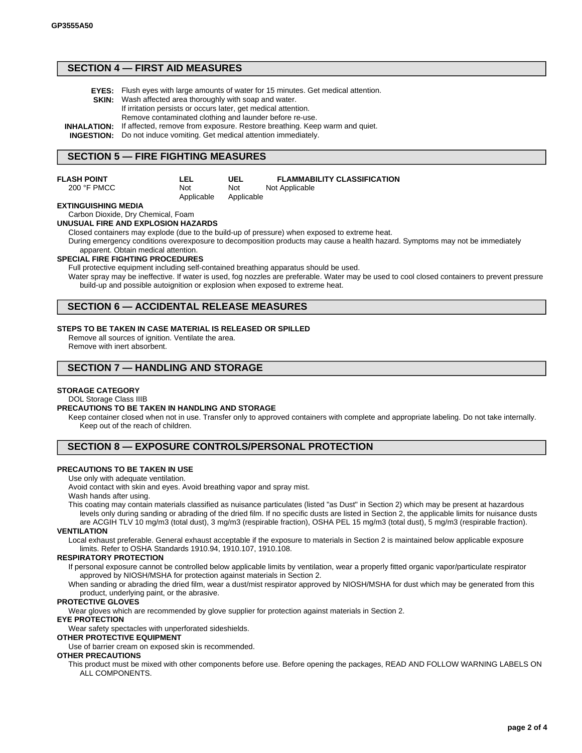## **SECTION 4 — FIRST AID MEASURES**

| <b>EYES:</b> Flush eyes with large amounts of water for 15 minutes. Get medical attention.<br><b>SKIN:</b> Wash affected area thoroughly with soap and water.<br>If irritation persists or occurs later, get medical attention.          |
|------------------------------------------------------------------------------------------------------------------------------------------------------------------------------------------------------------------------------------------|
| Remove contaminated clothing and launder before re-use.<br><b>INHALATION:</b> If affected, remove from exposure. Restore breathing. Keep warm and quiet.<br><b>INGESTION:</b> Do not induce vomiting. Get medical attention immediately. |

# **SECTION 5 — FIRE FIGHTING MEASURES**

**LEL** Not Applicable

200 °F PMCC

**UEL** Not Applicable **FLAMMABILITY CLASSIFICATION** Not Applicable

### **EXTINGUISHING MEDIA**

#### Carbon Dioxide, Dry Chemical, Foam **UNUSUAL FIRE AND EXPLOSION HAZARDS**

Closed containers may explode (due to the build-up of pressure) when exposed to extreme heat.

During emergency conditions overexposure to decomposition products may cause a health hazard. Symptoms may not be immediately apparent. Obtain medical attention.

#### **SPECIAL FIRE FIGHTING PROCEDURES**

Full protective equipment including self-contained breathing apparatus should be used.

Water spray may be ineffective. If water is used, fog nozzles are preferable. Water may be used to cool closed containers to prevent pressure build-up and possible autoignition or explosion when exposed to extreme heat.

## **SECTION 6 — ACCIDENTAL RELEASE MEASURES**

#### **STEPS TO BE TAKEN IN CASE MATERIAL IS RELEASED OR SPILLED**

Remove all sources of ignition. Ventilate the area. Remove with inert absorbent.

## **SECTION 7 — HANDLING AND STORAGE**

#### **STORAGE CATEGORY**

DOL Storage Class IIIB

#### **PRECAUTIONS TO BE TAKEN IN HANDLING AND STORAGE**

Keep container closed when not in use. Transfer only to approved containers with complete and appropriate labeling. Do not take internally. Keep out of the reach of children.

## **SECTION 8 — EXPOSURE CONTROLS/PERSONAL PROTECTION**

### **PRECAUTIONS TO BE TAKEN IN USE**

Use only with adequate ventilation.

Avoid contact with skin and eyes. Avoid breathing vapor and spray mist. Wash hands after using.

This coating may contain materials classified as nuisance particulates (listed "as Dust" in Section 2) which may be present at hazardous levels only during sanding or abrading of the dried film. If no specific dusts are listed in Section 2, the applicable limits for nuisance dusts

are ACGIH TLV 10 mg/m3 (total dust), 3 mg/m3 (respirable fraction), OSHA PEL 15 mg/m3 (total dust), 5 mg/m3 (respirable fraction). **VENTILATION**

Local exhaust preferable. General exhaust acceptable if the exposure to materials in Section 2 is maintained below applicable exposure limits. Refer to OSHA Standards 1910.94, 1910.107, 1910.108.

### **RESPIRATORY PROTECTION**

If personal exposure cannot be controlled below applicable limits by ventilation, wear a properly fitted organic vapor/particulate respirator approved by NIOSH/MSHA for protection against materials in Section 2.

When sanding or abrading the dried film, wear a dust/mist respirator approved by NIOSH/MSHA for dust which may be generated from this product, underlying paint, or the abrasive.

#### **PROTECTIVE GLOVES**

Wear gloves which are recommended by glove supplier for protection against materials in Section 2.

#### **EYE PROTECTION**

Wear safety spectacles with unperforated sideshields.

### **OTHER PROTECTIVE EQUIPMENT**

Use of barrier cream on exposed skin is recommended.

### **OTHER PRECAUTIONS**

This product must be mixed with other components before use. Before opening the packages, READ AND FOLLOW WARNING LABELS ON ALL COMPONENTS.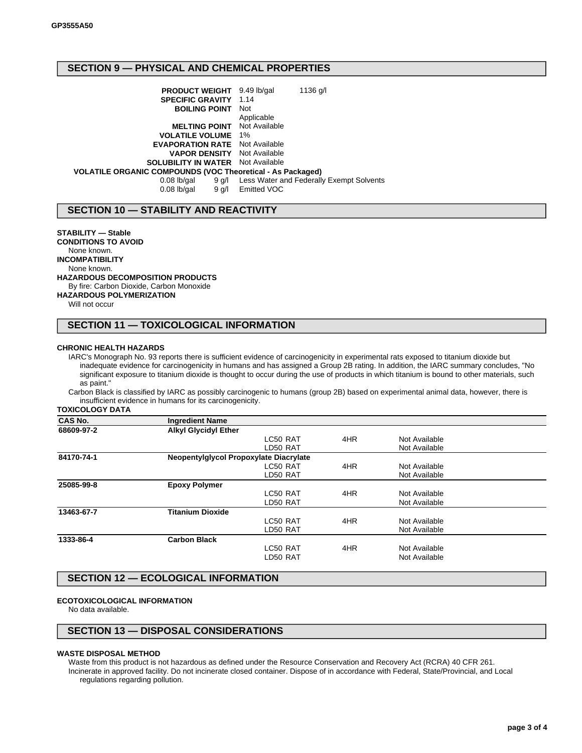# **SECTION 9 — PHYSICAL AND CHEMICAL PROPERTIES**

**PRODUCT WEIGHT** 9.49 lb/gal 1136 g/l **SPECIFIC GRAVITY** 1.14 **BOILING POINT** Not Applicable<br>Not Available **MELTING POINT VOLATILE VOLUME** 1% **EVAPORATION RATE** Not Available **VAPOR DENSITY** Not Available **SOLUBILITY IN WATER** Not Available **VOLATILE ORGANIC COMPOUNDS (VOC Theoretical - As Packaged)** 0.08 lb/gal 9 g/l Less Water and Federally Exempt Solvents 0.08 lb/gal 9 g/l Emitted VOC

## **SECTION 10 — STABILITY AND REACTIVITY**

**STABILITY — Stable CONDITIONS TO AVOID** None known. **INCOMPATIBILITY** None known. **HAZARDOUS DECOMPOSITION PRODUCTS** By fire: Carbon Dioxide, Carbon Monoxide **HAZARDOUS POLYMERIZATION** Will not occur

## **SECTION 11 — TOXICOLOGICAL INFORMATION**

#### **CHRONIC HEALTH HAZARDS**

IARC's Monograph No. 93 reports there is sufficient evidence of carcinogenicity in experimental rats exposed to titanium dioxide but inadequate evidence for carcinogenicity in humans and has assigned a Group 2B rating. In addition, the IARC summary concludes, "No significant exposure to titanium dioxide is thought to occur during the use of products in which titanium is bound to other materials, such as paint."

Carbon Black is classified by IARC as possibly carcinogenic to humans (group 2B) based on experimental animal data, however, there is insufficient evidence in humans for its carcinogenicity.

**TOXICOLOGY DATA**

| <b>CAS No.</b> | <b>Ingredient Name</b>      |                                        |     |               |  |
|----------------|-----------------------------|----------------------------------------|-----|---------------|--|
| 68609-97-2     | <b>Alkyl Glycidyl Ether</b> |                                        |     |               |  |
|                |                             | LC50 RAT                               | 4HR | Not Available |  |
|                |                             | LD50 RAT                               |     | Not Available |  |
| 84170-74-1     |                             | Neopentylglycol Propoxylate Diacrylate |     |               |  |
|                |                             | LC50 RAT                               | 4HR | Not Available |  |
|                |                             | LD50 RAT                               |     | Not Available |  |
| 25085-99-8     | <b>Epoxy Polymer</b>        |                                        |     |               |  |
|                |                             | LC50 RAT                               | 4HR | Not Available |  |
|                |                             | LD50 RAT                               |     | Not Available |  |
| 13463-67-7     | <b>Titanium Dioxide</b>     |                                        |     |               |  |
|                |                             | LC50 RAT                               | 4HR | Not Available |  |
|                |                             | LD50 RAT                               |     | Not Available |  |
| 1333-86-4      | <b>Carbon Black</b>         |                                        |     |               |  |
|                |                             | LC50 RAT                               | 4HR | Not Available |  |
|                |                             | LD50 RAT                               |     | Not Available |  |
|                |                             |                                        |     |               |  |

## **SECTION 12 — ECOLOGICAL INFORMATION**

### **ECOTOXICOLOGICAL INFORMATION**

No data available.

### **SECTION 13 — DISPOSAL CONSIDERATIONS**

### **WASTE DISPOSAL METHOD**

Waste from this product is not hazardous as defined under the Resource Conservation and Recovery Act (RCRA) 40 CFR 261. Incinerate in approved facility. Do not incinerate closed container. Dispose of in accordance with Federal, State/Provincial, and Local regulations regarding pollution.